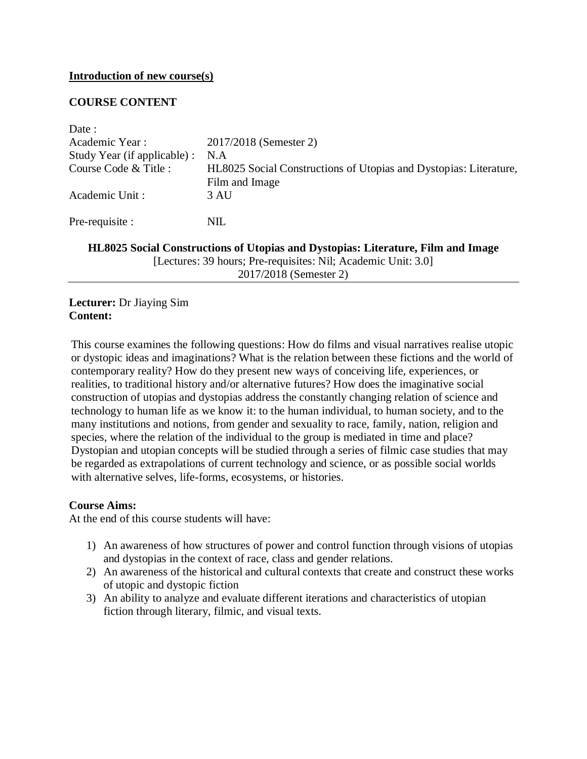#### **Introduction of new course(s)**

### **COURSE CONTENT**

| Date:                        |                                                                   |  |
|------------------------------|-------------------------------------------------------------------|--|
| Academic Year:               | 2017/2018 (Semester 2)                                            |  |
| Study Year (if applicable) : | N.A                                                               |  |
| Course Code & Title :        | HL8025 Social Constructions of Utopias and Dystopias: Literature, |  |
|                              | Film and Image                                                    |  |
| Academic Unit:               | 3 AU                                                              |  |
| Pre-requisite :              | NIL                                                               |  |
|                              |                                                                   |  |

**HL8025 Social Constructions of Utopias and Dystopias: Literature, Film and Image** [Lectures: 39 hours; Pre-requisites: Nil; Academic Unit: 3.0] 2017/2018 (Semester 2)

### **Lecturer:** Dr Jiaying Sim **Content:**

This course examines the following questions: How do films and visual narratives realise utopic or dystopic ideas and imaginations? What is the relation between these fictions and the world of contemporary reality? How do they present new ways of conceiving life, experiences, or realities, to traditional history and/or alternative futures? How does the imaginative social construction of utopias and dystopias address the constantly changing relation of science and technology to human life as we know it: to the human individual, to human society, and to the many institutions and notions, from gender and sexuality to race, family, nation, religion and species, where the relation of the individual to the group is mediated in time and place? Dystopian and utopian concepts will be studied through a series of filmic case studies that may be regarded as extrapolations of current technology and science, or as possible social worlds with alternative selves, life-forms, ecosystems, or histories.

#### **Course Aims:**

At the end of this course students will have:

- 1) An awareness of how structures of power and control function through visions of utopias and dystopias in the context of race, class and gender relations.
- 2) An awareness of the historical and cultural contexts that create and construct these works of utopic and dystopic fiction
- 3) An ability to analyze and evaluate different iterations and characteristics of utopian fiction through literary, filmic, and visual texts.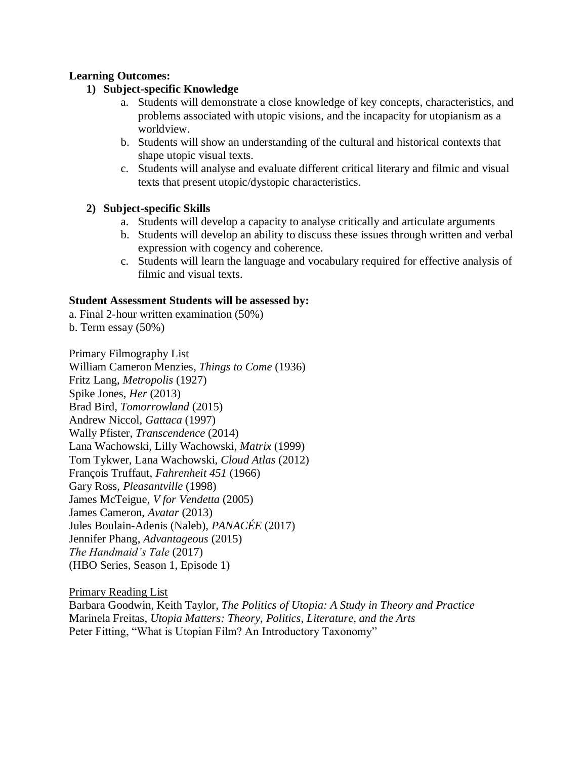# **Learning Outcomes:**

# **1) Subject-specific Knowledge**

- a. Students will demonstrate a close knowledge of key concepts, characteristics, and problems associated with utopic visions, and the incapacity for utopianism as a worldview.
- b. Students will show an understanding of the cultural and historical contexts that shape utopic visual texts.
- c. Students will analyse and evaluate different critical literary and filmic and visual texts that present utopic/dystopic characteristics.

# **2) Subject-specific Skills**

- a. Students will develop a capacity to analyse critically and articulate arguments
- b. Students will develop an ability to discuss these issues through written and verbal expression with cogency and coherence.
- c. Students will learn the language and vocabulary required for effective analysis of filmic and visual texts.

#### **Student Assessment Students will be assessed by:**

a. Final 2-hour written examination (50%)

b. Term essay (50%)

Primary Filmography List

William Cameron Menzies, *Things to Come* (1936) Fritz Lang, *Metropolis* (1927) Spike Jones, *Her* (2013) Brad Bird, *Tomorrowland* (2015) Andrew Niccol, *Gattaca* (1997) Wally Pfister, *Transcendence* (2014) Lana Wachowski, Lilly Wachowski, *Matrix* (1999) Tom Tykwer, Lana Wachowski, *Cloud Atlas* (2012) François Truffaut, *Fahrenheit 451* (1966) Gary Ross, *Pleasantville* (1998) James McTeigue, *V for Vendetta* (2005) James Cameron, *Avatar* (2013) Jules Boulain-Adenis (Naleb), *PANACÉE* (2017) Jennifer Phang, *Advantageous* (2015) *The Handmaid's Tale* (2017) (HBO Series, Season 1, Episode 1)

Primary Reading List

Barbara Goodwin, Keith Taylor, *The Politics of Utopia: A Study in Theory and Practice* Marinela Freitas*, Utopia Matters: Theory, Politics, Literature, and the Arts* Peter Fitting, "What is Utopian Film? An Introductory Taxonomy"